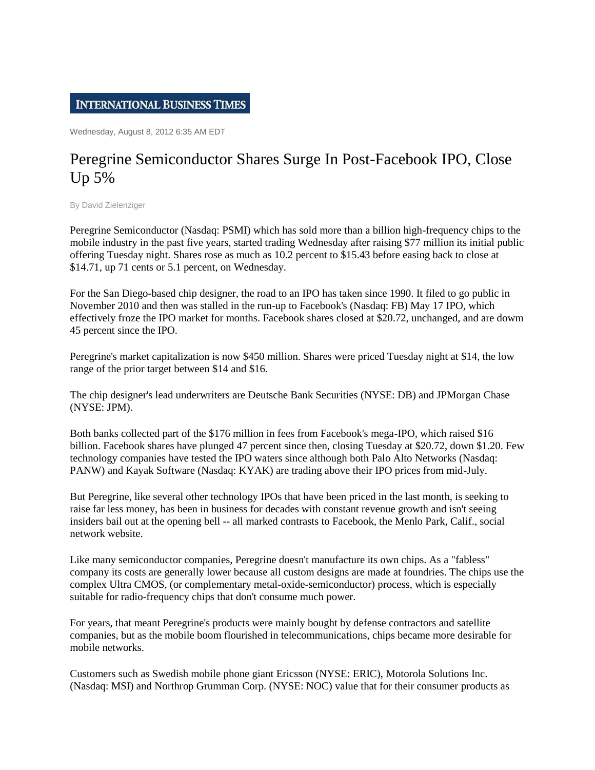## **INTERNATIONAL BUSINESS TIMES**

Wednesday, August 8, 2012 6:35 AM EDT

## Peregrine Semiconductor Shares Surge In Post-Facebook IPO, Close Up 5%

By David Zielenziger

Peregrine Semiconductor (Nasdaq: PSMI) which has sold more than a billion high-frequency chips to the mobile industry in the past five years, started trading Wednesday after raising \$77 million its initial public offering Tuesday night. Shares rose as much as 10.2 percent to \$15.43 before easing back to close at \$14.71, up 71 cents or 5.1 percent, on Wednesday.

For the San Diego-based chip designer, the road to an IPO has taken since 1990. It filed to go public in November 2010 and then was stalled in the run-up to Facebook's (Nasdaq: FB) May 17 IPO, which effectively froze the IPO market for months. Facebook shares closed at \$20.72, unchanged, and are dowm 45 percent since the IPO.

Peregrine's market capitalization is now \$450 million. Shares were priced Tuesday night at \$14, the low range of the prior target between \$14 and \$16.

The chip designer's lead underwriters are Deutsche Bank Securities (NYSE: DB) and JPMorgan Chase (NYSE: JPM).

Both banks collected part of the \$176 million in fees from Facebook's mega-IPO, which raised \$16 billion. Facebook shares have plunged 47 percent since then, closing Tuesday at \$20.72, down \$1.20. Few technology companies have tested the IPO waters since although both Palo Alto Networks (Nasdaq: PANW) and Kayak Software (Nasdaq: KYAK) are trading above their IPO prices from mid-July.

But Peregrine, like several other technology IPOs that have been priced in the last month, is seeking to raise far less money, has been in business for decades with constant revenue growth and isn't seeing insiders bail out at the opening bell -- all marked contrasts to Facebook, the Menlo Park, Calif., social network website.

Like many semiconductor companies, Peregrine doesn't manufacture its own chips. As a "fabless" company its costs are generally lower because all custom designs are made at foundries. The chips use the complex Ultra CMOS, (or complementary metal-oxide-semiconductor) process, which is especially suitable for radio-frequency chips that don't consume much power.

For years, that meant Peregrine's products were mainly bought by defense contractors and satellite companies, but as the mobile boom flourished in telecommunications, chips became more desirable for mobile networks.

Customers such as Swedish mobile phone giant Ericsson (NYSE: ERIC), Motorola Solutions Inc. (Nasdaq: MSI) and Northrop Grumman Corp. (NYSE: NOC) value that for their consumer products as